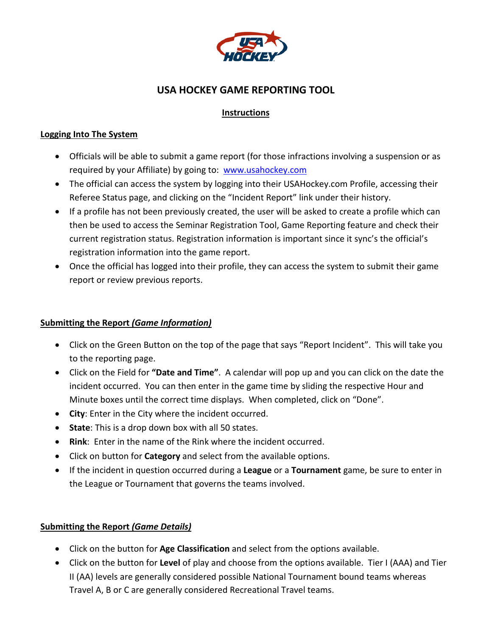

# **USA HOCKEY GAME REPORTING TOOL**

## **Instructions**

#### **Logging Into The System**

- Officials will be able to submit a game report (for those infractions involving a suspension or as required by your Affiliate) by going to: [www.usahockey.com](http://www.usahockey.com/)
- The official can access the system by logging into their USAHockey.com Profile, accessing their Referee Status page, and clicking on the "Incident Report" link under their history.
- If a profile has not been previously created, the user will be asked to create a profile which can then be used to access the Seminar Registration Tool, Game Reporting feature and check their current registration status. Registration information is important since it sync's the official's registration information into the game report.
- Once the official has logged into their profile, they can access the system to submit their game report or review previous reports.

#### **Submitting the Report** *(Game Information)*

- Click on the Green Button on the top of the page that says "Report Incident". This will take you to the reporting page.
- Click on the Field for **"Date and Time"**. A calendar will pop up and you can click on the date the incident occurred. You can then enter in the game time by sliding the respective Hour and Minute boxes until the correct time displays. When completed, click on "Done".
- **City**: Enter in the City where the incident occurred.
- **State**: This is a drop down box with all 50 states.
- **Rink**: Enter in the name of the Rink where the incident occurred.
- Click on button for **Category** and select from the available options.
- If the incident in question occurred during a **League** or a **Tournament** game, be sure to enter in the League or Tournament that governs the teams involved.

### **Submitting the Report** *(Game Details)*

- Click on the button for **Age Classification** and select from the options available.
- Click on the button for **Level** of play and choose from the options available. Tier I (AAA) and Tier II (AA) levels are generally considered possible National Tournament bound teams whereas Travel A, B or C are generally considered Recreational Travel teams.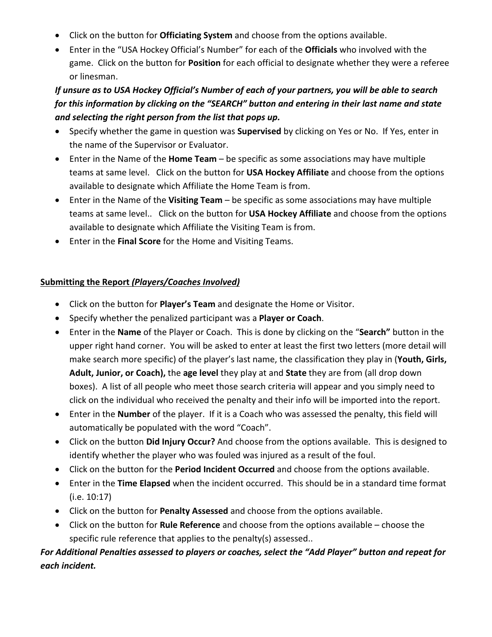- Click on the button for **Officiating System** and choose from the options available.
- Enter in the "USA Hockey Official's Number" for each of the **Officials** who involved with the game. Click on the button for **Position** for each official to designate whether they were a referee or linesman.

## *If unsure as to USA Hockey Official's Number of each of your partners, you will be able to search for this information by clicking on the "SEARCH" button and entering in their last name and state and selecting the right person from the list that pops up.*

- Specify whether the game in question was **Supervised** by clicking on Yes or No. If Yes, enter in the name of the Supervisor or Evaluator.
- Enter in the Name of the **Home Team** be specific as some associations may have multiple teams at same level. Click on the button for **USA Hockey Affiliate** and choose from the options available to designate which Affiliate the Home Team is from.
- Enter in the Name of the **Visiting Team** be specific as some associations may have multiple teams at same level.. Click on the button for **USA Hockey Affiliate** and choose from the options available to designate which Affiliate the Visiting Team is from.
- Enter in the **Final Score** for the Home and Visiting Teams.

## **Submitting the Report** *(Players/Coaches Involved)*

- Click on the button for **Player's Team** and designate the Home or Visitor.
- Specify whether the penalized participant was a **Player or Coach**.
- Enter in the **Name** of the Player or Coach. This is done by clicking on the "**Search"** button in the upper right hand corner. You will be asked to enter at least the first two letters (more detail will make search more specific) of the player's last name, the classification they play in (**Youth, Girls, Adult, Junior, or Coach),** the **age level** they play at and **State** they are from (all drop down boxes). A list of all people who meet those search criteria will appear and you simply need to click on the individual who received the penalty and their info will be imported into the report.
- Enter in the **Number** of the player. If it is a Coach who was assessed the penalty, this field will automatically be populated with the word "Coach".
- Click on the button **Did Injury Occur?** And choose from the options available. This is designed to identify whether the player who was fouled was injured as a result of the foul.
- Click on the button for the **Period Incident Occurred** and choose from the options available.
- Enter in the **Time Elapsed** when the incident occurred. This should be in a standard time format (i.e. 10:17)
- Click on the button for **Penalty Assessed** and choose from the options available.
- Click on the button for **Rule Reference** and choose from the options available choose the specific rule reference that applies to the penalty(s) assessed..

## *For Additional Penalties assessed to players or coaches, select the "Add Player" button and repeat for each incident.*